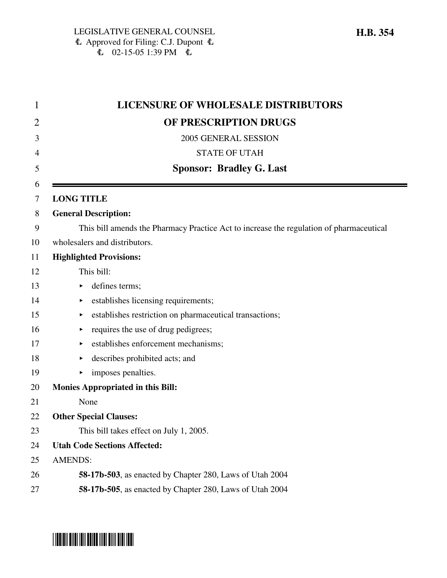| 1  | <b>LICENSURE OF WHOLESALE DISTRIBUTORS</b>                                              |
|----|-----------------------------------------------------------------------------------------|
| 2  | OF PRESCRIPTION DRUGS                                                                   |
| 3  | 2005 GENERAL SESSION                                                                    |
| 4  | <b>STATE OF UTAH</b>                                                                    |
| 5  | <b>Sponsor: Bradley G. Last</b>                                                         |
| 6  |                                                                                         |
| 7  | <b>LONG TITLE</b>                                                                       |
| 8  | <b>General Description:</b>                                                             |
| 9  | This bill amends the Pharmacy Practice Act to increase the regulation of pharmaceutical |
| 10 | wholesalers and distributors.                                                           |
| 11 | <b>Highlighted Provisions:</b>                                                          |
| 12 | This bill:                                                                              |
| 13 | defines terms;<br>▶                                                                     |
| 14 | establishes licensing requirements;                                                     |
| 15 | establishes restriction on pharmaceutical transactions;<br>▶                            |
| 16 | requires the use of drug pedigrees;<br>▶                                                |
| 17 | establishes enforcement mechanisms;                                                     |
| 18 | describes prohibited acts; and<br>▶                                                     |
| 19 | imposes penalties.                                                                      |
| 20 | <b>Monies Appropriated in this Bill:</b>                                                |
| 21 | None                                                                                    |
| 22 | <b>Other Special Clauses:</b>                                                           |
| 23 | This bill takes effect on July 1, 2005.                                                 |
| 24 | <b>Utah Code Sections Affected:</b>                                                     |
| 25 | <b>AMENDS:</b>                                                                          |
| 26 | 58-17b-503, as enacted by Chapter 280, Laws of Utah 2004                                |
| 27 | 58-17b-505, as enacted by Chapter 280, Laws of Utah 2004                                |
|    |                                                                                         |

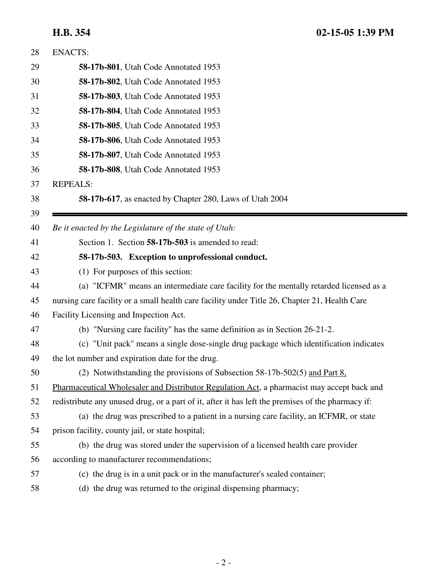| 28 | <b>ENACTS:</b>                                                                                    |
|----|---------------------------------------------------------------------------------------------------|
| 29 | <b>58-17b-801</b> , Utah Code Annotated 1953                                                      |
| 30 | 58-17b-802, Utah Code Annotated 1953                                                              |
| 31 | 58-17b-803, Utah Code Annotated 1953                                                              |
| 32 | <b>58-17b-804</b> , Utah Code Annotated 1953                                                      |
| 33 | 58-17b-805, Utah Code Annotated 1953                                                              |
| 34 | 58-17b-806, Utah Code Annotated 1953                                                              |
| 35 | 58-17b-807, Utah Code Annotated 1953                                                              |
| 36 | 58-17b-808, Utah Code Annotated 1953                                                              |
| 37 | <b>REPEALS:</b>                                                                                   |
| 38 | 58-17b-617, as enacted by Chapter 280, Laws of Utah 2004                                          |
| 39 |                                                                                                   |
| 40 | Be it enacted by the Legislature of the state of Utah:                                            |
| 41 | Section 1. Section 58-17b-503 is amended to read:                                                 |
| 42 | 58-17b-503. Exception to unprofessional conduct.                                                  |
| 43 | (1) For purposes of this section:                                                                 |
| 44 | (a) "ICFMR" means an intermediate care facility for the mentally retarded licensed as a           |
| 45 | nursing care facility or a small health care facility under Title 26, Chapter 21, Health Care     |
| 46 | Facility Licensing and Inspection Act.                                                            |
| 47 | (b) "Nursing care facility" has the same definition as in Section 26-21-2.                        |
| 48 | (c) "Unit pack" means a single dose-single drug package which identification indicates            |
| 49 | the lot number and expiration date for the drug.                                                  |
| 50 | (2) Notwithstanding the provisions of Subsection 58-17b-502(5) and Part 8.                        |
| 51 | Pharmaceutical Wholesaler and Distributor Regulation Act, a pharmacist may accept back and        |
| 52 | redistribute any unused drug, or a part of it, after it has left the premises of the pharmacy if: |
| 53 | (a) the drug was prescribed to a patient in a nursing care facility, an ICFMR, or state           |
| 54 | prison facility, county jail, or state hospital;                                                  |
| 55 | (b) the drug was stored under the supervision of a licensed health care provider                  |
| 56 | according to manufacturer recommendations;                                                        |
| 57 | (c) the drug is in a unit pack or in the manufacturer's sealed container;                         |
| 58 | (d) the drug was returned to the original dispensing pharmacy;                                    |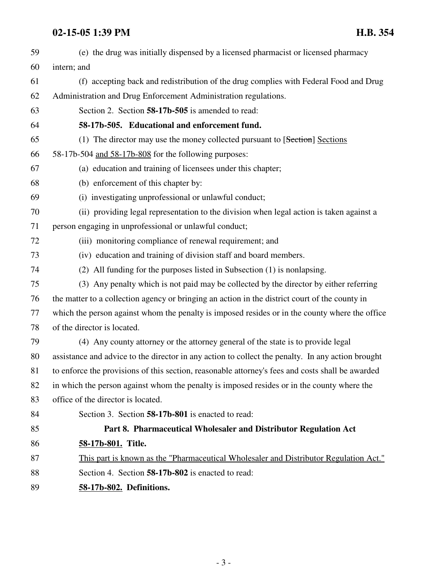| 59 | (e) the drug was initially dispensed by a licensed pharmacist or licensed pharmacy                |
|----|---------------------------------------------------------------------------------------------------|
| 60 | intern; and                                                                                       |
| 61 | (f) accepting back and redistribution of the drug complies with Federal Food and Drug             |
| 62 | Administration and Drug Enforcement Administration regulations.                                   |
| 63 | Section 2. Section 58-17b-505 is amended to read:                                                 |
| 64 | 58-17b-505. Educational and enforcement fund.                                                     |
| 65 | (1) The director may use the money collected pursuant to [Section] Sections                       |
| 66 | 58-17b-504 and 58-17b-808 for the following purposes:                                             |
| 67 | (a) education and training of licensees under this chapter;                                       |
| 68 | (b) enforcement of this chapter by:                                                               |
| 69 | (i) investigating unprofessional or unlawful conduct;                                             |
| 70 | (ii) providing legal representation to the division when legal action is taken against a          |
| 71 | person engaging in unprofessional or unlawful conduct;                                            |
| 72 | (iii) monitoring compliance of renewal requirement; and                                           |
| 73 | (iv) education and training of division staff and board members.                                  |
| 74 | (2) All funding for the purposes listed in Subsection (1) is nonlapsing.                          |
| 75 | (3) Any penalty which is not paid may be collected by the director by either referring            |
| 76 | the matter to a collection agency or bringing an action in the district court of the county in    |
| 77 | which the person against whom the penalty is imposed resides or in the county where the office    |
| 78 | of the director is located.                                                                       |
| 79 | (4) Any county attorney or the attorney general of the state is to provide legal                  |
| 80 | assistance and advice to the director in any action to collect the penalty. In any action brought |
| 81 | to enforce the provisions of this section, reasonable attorney's fees and costs shall be awarded  |
| 82 | in which the person against whom the penalty is imposed resides or in the county where the        |
| 83 | office of the director is located.                                                                |
| 84 | Section 3. Section 58-17b-801 is enacted to read:                                                 |
| 85 | Part 8. Pharmaceutical Wholesaler and Distributor Regulation Act                                  |
| 86 | 58-17b-801. Title.                                                                                |
| 87 | This part is known as the "Pharmaceutical Wholesaler and Distributor Regulation Act."             |
| 88 | Section 4. Section 58-17b-802 is enacted to read:                                                 |
| 89 | 58-17b-802. Definitions.                                                                          |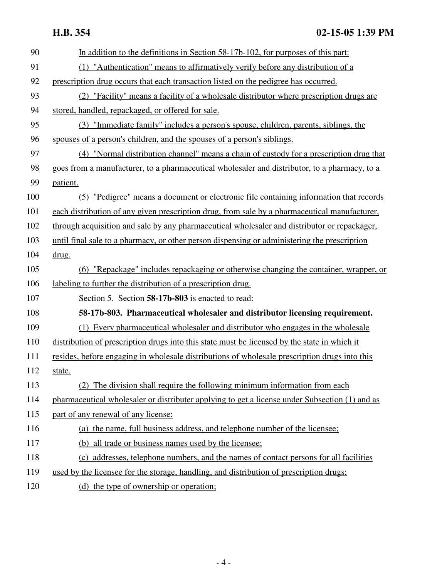| 90  | In addition to the definitions in Section 58-17b-102, for purposes of this part:               |
|-----|------------------------------------------------------------------------------------------------|
| 91  | (1) "Authentication" means to affirmatively verify before any distribution of a                |
| 92  | prescription drug occurs that each transaction listed on the pedigree has occurred.            |
| 93  | (2) "Facility" means a facility of a wholesale distributor where prescription drugs are        |
| 94  | stored, handled, repackaged, or offered for sale.                                              |
| 95  | (3) "Immediate family" includes a person's spouse, children, parents, siblings, the            |
| 96  | spouses of a person's children, and the spouses of a person's siblings.                        |
| 97  | (4) "Normal distribution channel" means a chain of custody for a prescription drug that        |
| 98  | goes from a manufacturer, to a pharmaceutical wholesaler and distributor, to a pharmacy, to a  |
| 99  | patient.                                                                                       |
| 100 | (5) "Pedigree" means a document or electronic file containing information that records         |
| 101 | each distribution of any given prescription drug, from sale by a pharmaceutical manufacturer,  |
| 102 | through acquisition and sale by any pharmaceutical wholesaler and distributor or repackager,   |
| 103 | until final sale to a pharmacy, or other person dispensing or administering the prescription   |
| 104 | drug.                                                                                          |
| 105 | (6) "Repackage" includes repackaging or otherwise changing the container, wrapper, or          |
| 106 | labeling to further the distribution of a prescription drug.                                   |
| 107 | Section 5. Section 58-17b-803 is enacted to read:                                              |
| 108 | 58-17b-803. Pharmaceutical wholesaler and distributor licensing requirement.                   |
| 109 | (1) Every pharmaceutical wholesaler and distributor who engages in the wholesale               |
| 110 | distribution of prescription drugs into this state must be licensed by the state in which it   |
| 111 | resides, before engaging in wholesale distributions of wholesale prescription drugs into this  |
| 112 | state.                                                                                         |
| 113 | (2) The division shall require the following minimum information from each                     |
| 114 | pharmaceutical wholesaler or distributer applying to get a license under Subsection (1) and as |
| 115 | part of any renewal of any license:                                                            |
| 116 | (a) the name, full business address, and telephone number of the licensee;                     |
| 117 | (b) all trade or business names used by the licensee;                                          |
| 118 | (c) addresses, telephone numbers, and the names of contact persons for all facilities          |
| 119 | used by the licensee for the storage, handling, and distribution of prescription drugs;        |
| 120 | (d) the type of ownership or operation;                                                        |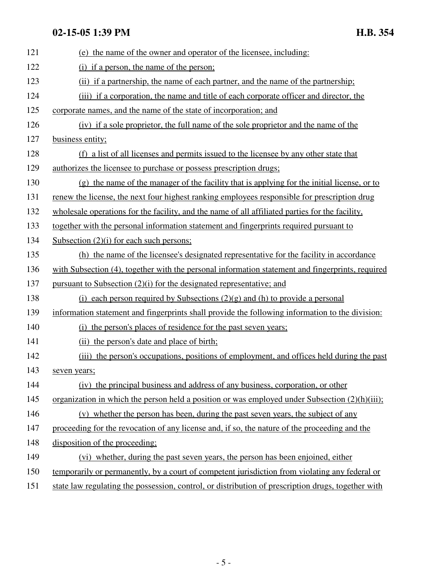| 121 | (e) the name of the owner and operator of the licensee, including:                                 |
|-----|----------------------------------------------------------------------------------------------------|
| 122 | (i) if a person, the name of the person;                                                           |
| 123 | (ii) if a partnership, the name of each partner, and the name of the partnership;                  |
| 124 | (iii) if a corporation, the name and title of each corporate officer and director, the             |
| 125 | corporate names, and the name of the state of incorporation; and                                   |
| 126 | (iv) if a sole proprietor, the full name of the sole proprietor and the name of the                |
| 127 | business entity;                                                                                   |
| 128 | (f) a list of all licenses and permits issued to the licensee by any other state that              |
| 129 | authorizes the licensee to purchase or possess prescription drugs;                                 |
| 130 | (g) the name of the manager of the facility that is applying for the initial license, or to        |
| 131 | renew the license, the next four highest ranking employees responsible for prescription drug       |
| 132 | wholesale operations for the facility, and the name of all affiliated parties for the facility,    |
| 133 | together with the personal information statement and fingerprints required pursuant to             |
| 134 | Subsection $(2)(i)$ for each such persons;                                                         |
| 135 | (h) the name of the licensee's designated representative for the facility in accordance            |
| 136 | with Subsection (4), together with the personal information statement and fingerprints, required   |
| 137 | pursuant to Subsection $(2)(i)$ for the designated representative; and                             |
| 138 | (i) each person required by Subsections $(2)(g)$ and (h) to provide a personal                     |
| 139 | information statement and fingerprints shall provide the following information to the division:    |
| 140 | (i) the person's places of residence for the past seven years;                                     |
| 141 | (ii) the person's date and place of birth;                                                         |
| 142 | (iii) the person's occupations, positions of employment, and offices held during the past          |
| 143 | seven years;                                                                                       |
| 144 | (iv) the principal business and address of any business, corporation, or other                     |
| 145 | organization in which the person held a position or was employed under Subsection $(2)(h)(iii)$ ;  |
| 146 | (v) whether the person has been, during the past seven years, the subject of any                   |
| 147 | proceeding for the revocation of any license and, if so, the nature of the proceeding and the      |
| 148 | disposition of the proceeding;                                                                     |
| 149 | (vi) whether, during the past seven years, the person has been enjoined, either                    |
| 150 | temporarily or permanently, by a court of competent jurisdiction from violating any federal or     |
| 151 | state law regulating the possession, control, or distribution of prescription drugs, together with |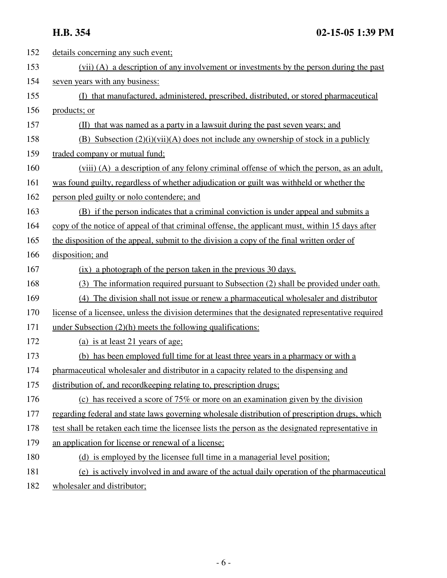| 152 | details concerning any such event;                                                                |
|-----|---------------------------------------------------------------------------------------------------|
| 153 | (vii) (A) a description of any involvement or investments by the person during the past           |
| 154 | seven years with any business:                                                                    |
| 155 | (I) that manufactured, administered, prescribed, distributed, or stored pharmaceutical            |
| 156 | products; or                                                                                      |
| 157 | (II) that was named as a party in a lawsuit during the past seven years; and                      |
| 158 | (B) Subsection $(2)(i)(vii)(A)$ does not include any ownership of stock in a publicly             |
| 159 | traded company or mutual fund;                                                                    |
| 160 | (viii) (A) a description of any felony criminal offense of which the person, as an adult,         |
| 161 | was found guilty, regardless of whether adjudication or guilt was withheld or whether the         |
| 162 | person pled guilty or nolo contendere; and                                                        |
| 163 | (B) if the person indicates that a criminal conviction is under appeal and submits a              |
| 164 | copy of the notice of appeal of that criminal offense, the applicant must, within 15 days after   |
| 165 | the disposition of the appeal, submit to the division a copy of the final written order of        |
| 166 | disposition; and                                                                                  |
| 167 | (ix) a photograph of the person taken in the previous 30 days.                                    |
| 168 | (3) The information required pursuant to Subsection (2) shall be provided under oath.             |
| 169 | (4) The division shall not issue or renew a pharmaceutical wholesaler and distributor             |
| 170 | license of a licensee, unless the division determines that the designated representative required |
| 171 | under Subsection $(2)(h)$ meets the following qualifications:                                     |
| 172 | (a) is at least 21 years of age;                                                                  |
| 173 | (b) has been employed full time for at least three years in a pharmacy or with a                  |
| 174 | pharmaceutical wholesaler and distributor in a capacity related to the dispensing and             |
| 175 | distribution of, and record keeping relating to, prescription drugs;                              |
| 176 | (c) has received a score of 75% or more on an examination given by the division                   |
| 177 | regarding federal and state laws governing wholesale distribution of prescription drugs, which    |
| 178 | test shall be retaken each time the licensee lists the person as the designated representative in |
| 179 | an application for license or renewal of a license;                                               |
| 180 | (d) is employed by the licensee full time in a managerial level position;                         |
| 181 | (e) is actively involved in and aware of the actual daily operation of the pharmaceutical         |
| 182 | wholesaler and distributor;                                                                       |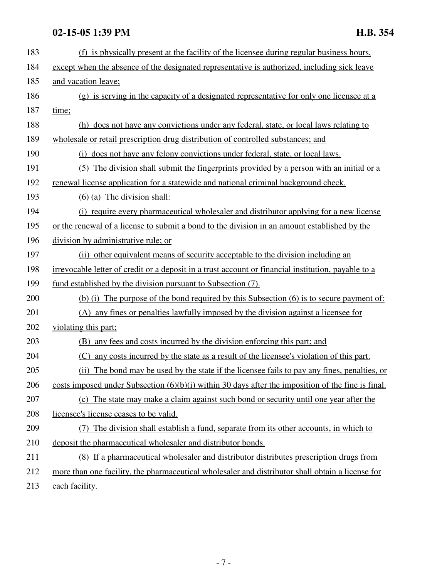| 183 | (f) is physically present at the facility of the licensee during regular business hours,             |
|-----|------------------------------------------------------------------------------------------------------|
| 184 | except when the absence of the designated representative is authorized, including sick leave         |
| 185 | and vacation leave;                                                                                  |
| 186 | (g) is serving in the capacity of a designated representative for only one licensee at a             |
| 187 | time;                                                                                                |
| 188 | (h) does not have any convictions under any federal, state, or local laws relating to                |
| 189 | wholesale or retail prescription drug distribution of controlled substances; and                     |
| 190 | (i) does not have any felony convictions under federal, state, or local laws.                        |
| 191 | (5) The division shall submit the fingerprints provided by a person with an initial or a             |
| 192 | renewal license application for a statewide and national criminal background check.                  |
| 193 | $(6)$ (a) The division shall:                                                                        |
| 194 | (i) require every pharmaceutical wholesaler and distributor applying for a new license               |
| 195 | or the renewal of a license to submit a bond to the division in an amount established by the         |
| 196 | division by administrative rule; or                                                                  |
| 197 | (ii) other equivalent means of security acceptable to the division including an                      |
| 198 | irrevocable letter of credit or a deposit in a trust account or financial institution, payable to a  |
| 199 | fund established by the division pursuant to Subsection (7).                                         |
| 200 | (b) (i) The purpose of the bond required by this Subsection (6) is to secure payment of:             |
| 201 | (A) any fines or penalties lawfully imposed by the division against a licensee for                   |
| 202 | violating this part;                                                                                 |
| 203 | any fees and costs incurred by the division enforcing this part; and<br>(B)                          |
| 204 | any costs incurred by the state as a result of the licensee's violation of this part.<br>(C)         |
| 205 | (ii) The bond may be used by the state if the licensee fails to pay any fines, penalties, or         |
| 206 | costs imposed under Subsection $(6)(b)(i)$ within 30 days after the imposition of the fine is final. |
| 207 | (c) The state may make a claim against such bond or security until one year after the                |
| 208 | licensee's license ceases to be valid.                                                               |
| 209 | The division shall establish a fund, separate from its other accounts, in which to                   |
| 210 | deposit the pharmaceutical wholesaler and distributor bonds.                                         |
| 211 | (8) If a pharmaceutical wholesaler and distributor distributes prescription drugs from               |
| 212 | more than one facility, the pharmaceutical wholesaler and distributor shall obtain a license for     |
| 213 | each facility.                                                                                       |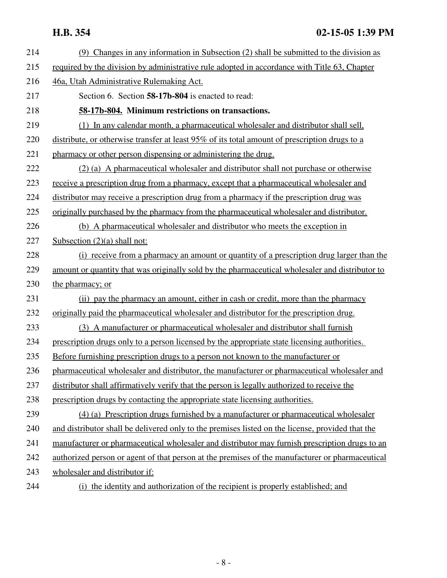| 214 | (9) Changes in any information in Subsection (2) shall be submitted to the division as           |
|-----|--------------------------------------------------------------------------------------------------|
| 215 | required by the division by administrative rule adopted in accordance with Title 63, Chapter     |
| 216 | 46a, Utah Administrative Rulemaking Act.                                                         |
| 217 | Section 6. Section 58-17b-804 is enacted to read:                                                |
| 218 | 58-17b-804. Minimum restrictions on transactions.                                                |
| 219 | (1) In any calendar month, a pharmaceutical wholesaler and distributor shall sell,               |
| 220 | distribute, or otherwise transfer at least 95% of its total amount of prescription drugs to a    |
| 221 | pharmacy or other person dispensing or administering the drug.                                   |
| 222 | (2) (a) A pharmaceutical wholesaler and distributor shall not purchase or otherwise              |
| 223 | receive a prescription drug from a pharmacy, except that a pharmaceutical wholesaler and         |
| 224 | distributor may receive a prescription drug from a pharmacy if the prescription drug was         |
| 225 | originally purchased by the pharmacy from the pharmaceutical wholesaler and distributor.         |
| 226 | (b) A pharmaceutical wholesaler and distributor who meets the exception in                       |
| 227 | Subsection $(2)(a)$ shall not:                                                                   |
| 228 | (i) receive from a pharmacy an amount or quantity of a prescription drug larger than the         |
| 229 | amount or quantity that was originally sold by the pharmaceutical wholesaler and distributor to  |
| 230 | the pharmacy; or                                                                                 |
| 231 | (ii) pay the pharmacy an amount, either in cash or credit, more than the pharmacy                |
| 232 | originally paid the pharmaceutical wholesaler and distributor for the prescription drug.         |
| 233 | (3) A manufacturer or pharmaceutical wholesaler and distributor shall furnish                    |
| 234 | prescription drugs only to a person licensed by the appropriate state licensing authorities.     |
| 235 | Before furnishing prescription drugs to a person not known to the manufacturer or                |
| 236 | pharmaceutical wholesaler and distributor, the manufacturer or pharmaceutical wholesaler and     |
| 237 | distributor shall affirmatively verify that the person is legally authorized to receive the      |
| 238 | prescription drugs by contacting the appropriate state licensing authorities.                    |
| 239 | (4) (a) Prescription drugs furnished by a manufacturer or pharmaceutical wholesaler              |
| 240 | and distributor shall be delivered only to the premises listed on the license, provided that the |
| 241 | manufacturer or pharmaceutical wholesaler and distributor may furnish prescription drugs to an   |
| 242 | authorized person or agent of that person at the premises of the manufacturer or pharmaceutical  |
| 243 | wholesaler and distributor if:                                                                   |
| 244 | (i) the identity and authorization of the recipient is properly established; and                 |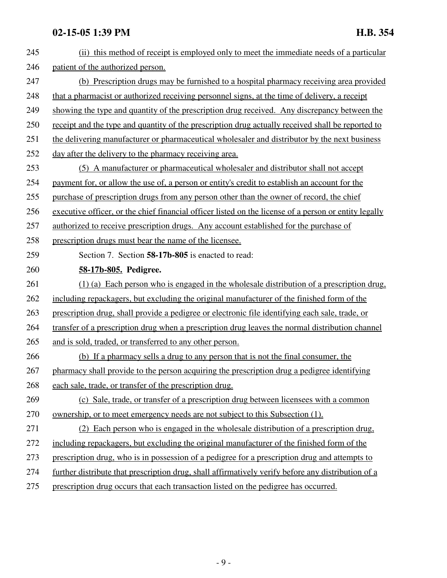| 245 | (ii) this method of receipt is employed only to meet the immediate needs of a particular              |
|-----|-------------------------------------------------------------------------------------------------------|
| 246 | patient of the authorized person.                                                                     |
| 247 | (b) Prescription drugs may be furnished to a hospital pharmacy receiving area provided                |
| 248 | that a pharmacist or authorized receiving personnel signs, at the time of delivery, a receipt         |
| 249 | showing the type and quantity of the prescription drug received. Any discrepancy between the          |
| 250 | receipt and the type and quantity of the prescription drug actually received shall be reported to     |
| 251 | the delivering manufacturer or pharmaceutical wholesaler and distributor by the next business         |
| 252 | day after the delivery to the pharmacy receiving area.                                                |
| 253 | (5) A manufacturer or pharmaceutical wholesaler and distributor shall not accept                      |
| 254 | payment for, or allow the use of, a person or entity's credit to establish an account for the         |
| 255 | purchase of prescription drugs from any person other than the owner of record, the chief              |
| 256 | executive officer, or the chief financial officer listed on the license of a person or entity legally |
| 257 | authorized to receive prescription drugs. Any account established for the purchase of                 |
| 258 | prescription drugs must bear the name of the licensee.                                                |
| 259 | Section 7. Section 58-17b-805 is enacted to read:                                                     |
| 260 | 58-17b-805. Pedigree.                                                                                 |
| 261 | $(1)$ (a) Each person who is engaged in the wholesale distribution of a prescription drug.            |
| 262 | including repackagers, but excluding the original manufacturer of the finished form of the            |
| 263 | prescription drug, shall provide a pedigree or electronic file identifying each sale, trade, or       |
| 264 | transfer of a prescription drug when a prescription drug leaves the normal distribution channel       |
| 265 | and is sold, traded, or transferred to any other person.                                              |
| 266 | (b) If a pharmacy sells a drug to any person that is not the final consumer, the                      |
| 267 | pharmacy shall provide to the person acquiring the prescription drug a pedigree identifying           |
| 268 | each sale, trade, or transfer of the prescription drug.                                               |
| 269 | (c) Sale, trade, or transfer of a prescription drug between licensees with a common                   |
| 270 | ownership, or to meet emergency needs are not subject to this Subsection (1).                         |
| 271 | (2) Each person who is engaged in the wholesale distribution of a prescription drug.                  |
| 272 | including repackagers, but excluding the original manufacturer of the finished form of the            |
| 273 | prescription drug, who is in possession of a pedigree for a prescription drug and attempts to         |
| 274 | further distribute that prescription drug, shall affirmatively verify before any distribution of a    |
| 275 | prescription drug occurs that each transaction listed on the pedigree has occurred.                   |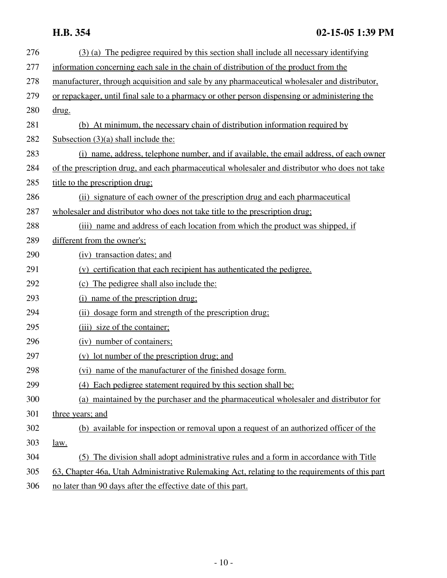## **H.B. 354 02-15-05 1:39 PM**

| 276 | (3) (a) The pedigree required by this section shall include all necessary identifying          |
|-----|------------------------------------------------------------------------------------------------|
| 277 | information concerning each sale in the chain of distribution of the product from the          |
| 278 | manufacturer, through acquisition and sale by any pharmaceutical wholesaler and distributor,   |
| 279 | or repackager, until final sale to a pharmacy or other person dispensing or administering the  |
| 280 | drug.                                                                                          |
| 281 | (b) At minimum, the necessary chain of distribution information required by                    |
| 282 | Subsection $(3)(a)$ shall include the:                                                         |
| 283 | (i) name, address, telephone number, and if available, the email address, of each owner        |
| 284 | of the prescription drug, and each pharmaceutical wholesaler and distributor who does not take |
| 285 | title to the prescription drug;                                                                |
| 286 | (ii) signature of each owner of the prescription drug and each pharmaceutical                  |
| 287 | wholesaler and distributor who does not take title to the prescription drug;                   |
| 288 | (iii) name and address of each location from which the product was shipped, if                 |
| 289 | different from the owner's;                                                                    |
| 290 | (iv) transaction dates; and                                                                    |
| 291 | (v) certification that each recipient has authenticated the pedigree.                          |
| 292 | (c) The pedigree shall also include the:                                                       |
| 293 | name of the prescription drug;<br>(i)                                                          |
| 294 | (ii) dosage form and strength of the prescription drug:                                        |
| 295 | (iii) size of the container;                                                                   |
| 296 | (iv) number of containers;                                                                     |
| 297 | (v) lot number of the prescription drug; and                                                   |
| 298 | (vi) name of the manufacturer of the finished dosage form.                                     |
| 299 | (4) Each pedigree statement required by this section shall be:                                 |
| 300 | (a) maintained by the purchaser and the pharmaceutical wholesaler and distributor for          |
| 301 | three years; and                                                                               |
| 302 | (b) available for inspection or removal upon a request of an authorized officer of the         |
| 303 | law.                                                                                           |
| 304 | (5) The division shall adopt administrative rules and a form in accordance with Title          |
| 305 | 63, Chapter 46a, Utah Administrative Rulemaking Act, relating to the requirements of this part |
| 306 | no later than 90 days after the effective date of this part.                                   |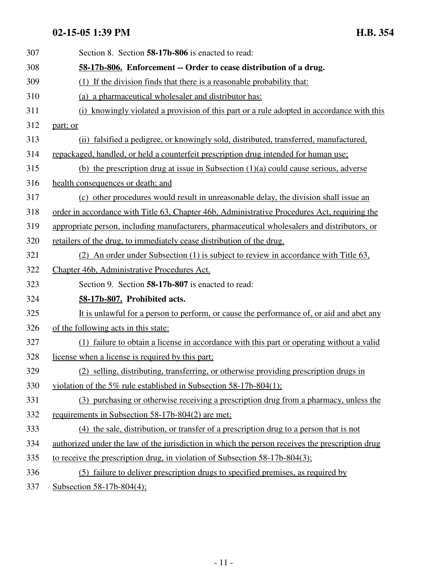| 307 | Section 8. Section 58-17b-806 is enacted to read:                                               |
|-----|-------------------------------------------------------------------------------------------------|
| 308 | 58-17b-806. Enforcement -- Order to cease distribution of a drug.                               |
| 309 | (1) If the division finds that there is a reasonable probability that:                          |
| 310 | (a) a pharmaceutical wholesaler and distributor has:                                            |
| 311 | (i) knowingly violated a provision of this part or a rule adopted in accordance with this       |
| 312 | part; or                                                                                        |
| 313 | (ii) falsified a pedigree, or knowingly sold, distributed, transferred, manufactured,           |
| 314 | repackaged, handled, or held a counterfeit prescription drug intended for human use;            |
| 315 | (b) the prescription drug at issue in Subsection $(1)(a)$ could cause serious, adverse          |
| 316 | health consequences or death; and                                                               |
| 317 | (c) other procedures would result in unreasonable delay, the division shall issue an            |
| 318 | order in accordance with Title 63, Chapter 46b, Administrative Procedures Act, requiring the    |
| 319 | appropriate person, including manufacturers, pharmaceutical wholesalers and distributors, or    |
| 320 | retailers of the drug, to immediately cease distribution of the drug.                           |
| 321 | (2) An order under Subsection (1) is subject to review in accordance with Title 63,             |
| 322 | Chapter 46b, Administrative Procedures Act.                                                     |
| 323 | Section 9. Section 58-17b-807 is enacted to read:                                               |
| 324 | 58-17b-807. Prohibited acts.                                                                    |
| 325 | It is unlawful for a person to perform, or cause the performance of, or aid and abet any        |
| 326 | of the following acts in this state:                                                            |
| 327 | (1) failure to obtain a license in accordance with this part or operating without a valid       |
| 328 | license when a license is required by this part;                                                |
| 329 | (2) selling, distributing, transferring, or otherwise providing prescription drugs in           |
| 330 | violation of the 5% rule established in Subsection 58-17b-804(1);                               |
| 331 | (3) purchasing or otherwise receiving a prescription drug from a pharmacy, unless the           |
| 332 | requirements in Subsection 58-17b-804(2) are met;                                               |
| 333 | (4) the sale, distribution, or transfer of a prescription drug to a person that is not          |
| 334 | authorized under the law of the jurisdiction in which the person receives the prescription drug |
| 335 | to receive the prescription drug, in violation of Subsection 58-17b-804(3);                     |
| 336 | (5) failure to deliver prescription drugs to specified premises, as required by                 |
| 337 | Subsection 58-17b-804(4);                                                                       |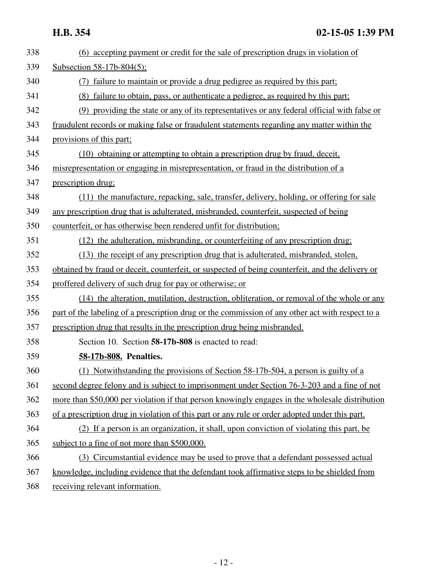| 338 | (6) accepting payment or credit for the sale of prescription drugs in violation of               |
|-----|--------------------------------------------------------------------------------------------------|
| 339 | Subsection 58-17b-804(5);                                                                        |
| 340 | (7) failure to maintain or provide a drug pedigree as required by this part;                     |
| 341 | (8) failure to obtain, pass, or authenticate a pedigree, as required by this part;               |
| 342 | (9) providing the state or any of its representatives or any federal official with false or      |
| 343 | fraudulent records or making false or fraudulent statements regarding any matter within the      |
| 344 | provisions of this part;                                                                         |
| 345 | (10) obtaining or attempting to obtain a prescription drug by fraud, deceit,                     |
| 346 | misrepresentation or engaging in misrepresentation, or fraud in the distribution of a            |
| 347 | prescription drug;                                                                               |
| 348 | (11) the manufacture, repacking, sale, transfer, delivery, holding, or offering for sale         |
| 349 | any prescription drug that is adulterated, misbranded, counterfeit, suspected of being           |
| 350 | counterfeit, or has otherwise been rendered unfit for distribution;                              |
| 351 | (12) the adulteration, misbranding, or counterfeiting of any prescription drug.                  |
| 352 | (13) the receipt of any prescription drug that is adulterated, misbranded, stolen,               |
| 353 | obtained by fraud or deceit, counterfeit, or suspected of being counterfeit, and the delivery or |
| 354 | proffered delivery of such drug for pay or otherwise; or                                         |
| 355 | (14) the alteration, mutilation, destruction, obliteration, or removal of the whole or any       |
| 356 | part of the labeling of a prescription drug or the commission of any other act with respect to a |
| 357 | prescription drug that results in the prescription drug being misbranded.                        |
| 358 | Section 10. Section 58-17b-808 is enacted to read:                                               |
| 359 | 58-17b-808. Penalties.                                                                           |
| 360 | (1) Notwithstanding the provisions of Section 58-17b-504, a person is guilty of a                |
| 361 | second degree felony and is subject to imprisonment under Section 76-3-203 and a fine of not     |
| 362 | more than \$50,000 per violation if that person knowingly engages in the wholesale distribution  |
| 363 | of a prescription drug in violation of this part or any rule or order adopted under this part.   |
| 364 | (2) If a person is an organization, it shall, upon conviction of violating this part, be         |
| 365 | subject to a fine of not more than \$500,000.                                                    |
| 366 | (3) Circumstantial evidence may be used to prove that a defendant possessed actual               |
| 367 | knowledge, including evidence that the defendant took affirmative steps to be shielded from      |
| 368 | receiving relevant information.                                                                  |